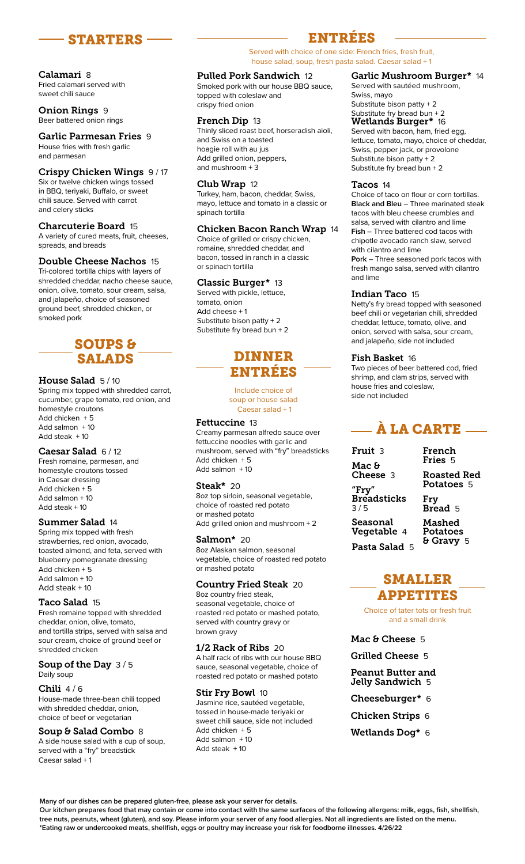

#### Calamari 8 Fried calamari served with sweet chili sauce

Onion Rings 9 Beer battered onion rings

#### Garlic Parmesan Fries 9 House fries with fresh garlic and parmesan

#### Crispy Chicken Wings 9 / 17

Six or twelve chicken wings tossed in BBQ, teriyaki, Buffalo, or sweet chili sauce. Served with carrot and celery sticks

#### Charcuterie Board 15

A variety of cured meats, fruit, cheeses, spreads, and breads

## Double Cheese Nachos 15

Tri-colored tortilla chips with layers of shredded cheddar, nacho cheese sauce, onion, olive, tomato, sour cream, salsa, and jalapeño, choice of seasoned ground beef, shredded chicken, or smoked pork

# SOUPS & SALADS

#### House Salad 5/10

Spring mix topped with shredded carrot, cucumber, grape tomato, red onion, and homestyle croutons Add chicken + 5 Add salmon  $+10$ Add steak + 10

#### Caesar Salad 6 / 12

Fresh romaine, parmesan, and homestyle croutons tossed in Caesar dressing Add chicken + 5 Add salmon + 10 Add steak + 10

#### Summer Salad 14

Spring mix topped with fresh strawberries, red onion, avocado, toasted almond, and feta, served with blueberry pomegranate dressing Add chicken + 5 Add salmon + 10 Add steak + 10

## Taco Salad 15

Fresh romaine topped with shredded cheddar, onion, olive, tomato, and tortilla strips, served with salsa and sour cream, choice of ground beef or shredded chicken

#### Soup of the Day 3/5 Daily soup

#### Chili  $4/6$

House-made three-bean chili topped with shredded cheddar, onion, choice of beef or vegetarian

## Soup & Salad Combo 8

A side house salad with a cup of soup, served with a "fry" breadstick Caesar salad + 1

# ENTRÉES

Served with choice of one side: French fries, fresh fruit, house salad, soup, fresh pasta salad. Caesar salad + 1

## Pulled Pork Sandwich 12

Smoked pork with our house BBQ sauce, topped with coleslaw and crispy fried onion

#### French Dip 13

Thinly sliced roast beef, horseradish aioli, and Swiss on a toasted hoagie roll with au jus Add grilled onion, peppers, and mushroom + 3

## Club Wrap 12

Turkey, ham, bacon, cheddar, Swiss, mayo, lettuce and tomato in a classic or spinach tortilla

#### Chicken Bacon Ranch Wrap 14

Choice of grilled or crispy chicken, romaine, shredded cheddar, and bacon, tossed in ranch in a classic or spinach tortilla

#### Classic Burger\* 13

Served with pickle, lettuce, tomato, onion Add cheese + 1 Substitute bison patty + 2 Substitute fry bread bun + 2

# DINNER ENTRÉES

Include choice of soup or house salad Caesar salad + 1

# Fettuccine 13

Creamy parmesan alfredo sauce over fettuccine noodles with garlic and mushroom, served with "fry" breadsticks Add chicken + 5 Add salmon + 10

## Steak\* 20

8oz top sirloin, seasonal vegetable, choice of roasted red potato or mashed potato Add grilled onion and mushroom + 2

# Salmon\* 20

8oz Alaskan salmon, seasonal vegetable, choice of roasted red potato or mashed potato

# Country Fried Steak 20

8oz country fried steak, seasonal vegetable, choice of roasted red potato or mashed potato, served with country gravy or brown gravy

## 1/2 Rack of Ribs 20

A half rack of ribs with our house BBQ sauce, seasonal vegetable, choice of roasted red potato or mashed potato

## Stir Fry Bowl 10

Jasmine rice, sautéed vegetable, tossed in house-made teriyaki or sweet chili sauce, side not included Add chicken + 5 Add salmon + 10 Add steak + 10

## Garlic Mushroom Burger\* 14

Served with sautéed mushroom, Swiss, mayo Substitute bison patty + 2 Substitute fry bread bun + 2 Wetlands Burger\* 16 Served with bacon, ham, fried egg, lettuce, tomato, mayo, choice of cheddar,

Swiss, pepper jack, or provolone Substitute bison patty + 2 Substitute fry bread bun + 2

#### Tacos 14

Choice of taco on flour or corn tortillas. **Black and Bleu** – Three marinated steak tacos with bleu cheese crumbles and salsa, served with cilantro and lime **Fish** – Three battered cod tacos with chipotle avocado ranch slaw, served with cilantro and lime **Pork** – Three seasoned pork tacos with fresh mango salsa, served with cilantro and lime

## Indian Taco 15

Netty's fry bread topped with seasoned beef chili or vegetarian chili, shredded cheddar, lettuce, tomato, olive, and onion, served with salsa, sour cream, and jalapeño, side not included

## Fish Basket 16

Two pieces of beer battered cod, fried shrimp, and clam strips, served with house fries and coleslaw, side not included

# $-$  À LA CARTE  $-$

| Fruit 3                           | French<br>Fries 5                       |
|-----------------------------------|-----------------------------------------|
| Mac &<br><b>Cheese</b> 3<br>"Fry" | <b>Roasted Red</b><br><b>Potatoes</b> 5 |
| <b>Breadsticks</b><br>3/5         | Fry<br>Bread 5                          |
| Seasonal<br>Vegetable 4           | Mashed<br>Potatoes                      |
| Pasta Salad<br>-5                 | & Gravy 5                               |

# SMALLER APPETITES

Choice of tater tots or fresh fruit and a small drink

Mac & Cheese 5

Grilled Cheese 5

- Peanut Butter and Jelly Sandwich 5
- Cheeseburger\* 6
- Chicken Strips 6
- Wetlands Dog\* 6

**Many of our dishes can be prepared gluten-free, please ask your server for details.**

**Our kitchen prepares food that may contain or come into contact with the same surfaces of the following allergens: milk, eggs, fish, shellfish, tree nuts, peanuts, wheat (gluten), and soy. Please inform your server of any food allergies. Not all ingredients are listed on the menu. \*Eating raw or undercooked meats, shellfish, eggs or poultry may increase your risk for foodborne illnesses. 4/26/22**